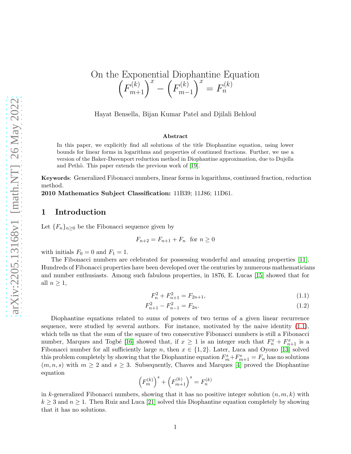#### On the Exponential Diophantine Equation  $\left(F_{m+1}^{(k)}\right)^x - \left(F_{m-1}^{(k)}\right)^x$  $m-1$  $\overline{Y} = F_n^{(k)}$  $\widetilde{n}$

Hayat Bensella, Bijan Kumar Patel and Djilali Behloul

#### Abstract

In this paper, we explicitly find all solutions of the title Diophantine equation, using lower bounds for linear forms in logarithms and properties of continued fractions. Further, we use a version of the Baker-Davenport reduction method in Diophantine approximation, due to Dujella and Pethö. This paper extends the previous work of  $[19]$ .

Keywords: Generalized Fibonacci numbers, linear forms in logarithms, continued fraction, reduction method.

2010 Mathematics Subject Classification: 11B39; 11J86; 11D61.

### 1 Introduction

Let  ${F_n}_{n\geq 0}$  be the Fibonacci sequence given by

$$
F_{n+2} = F_{n+1} + F_n \quad \text{for } n \ge 0
$$

with initials  $F_0 = 0$  and  $F_1 = 1$ .

The Fibonacci numbers are celebrated for possessing wonderful and amazing properties [\[11\]](#page-12-1). Hundreds of Fibonacci properties have been developed over the centuries by numerous mathematicians and number enthusiasts. Among such fabulous properties, in 1876, E. Lucas [\[15\]](#page-12-2) showed that for all  $n \geq 1$ ,

<span id="page-0-1"></span><span id="page-0-0"></span>
$$
F_n^2 + F_{n+1}^2 = F_{2n+1},\tag{1.1}
$$

$$
F_{n+1}^2 - F_{n-1}^2 = F_{2n}.\tag{1.2}
$$

Diophantine equations related to sums of powers of two terms of a given linear recurrence sequence, were studied by several authors. For instance, motivated by the naive identity [\(1.1\)](#page-0-0), which tells us that the sum of the square of two consecutive Fibonacci numbers is still a Fibonacci number, Marques and Togbé [\[16\]](#page-12-3) showed that, if  $x \geq 1$  is an integer such that  $F_n^x + F_{n+1}^x$  is a Fibonacci number for all sufficiently large n, then  $x \in \{1,2\}$ . Later, Luca and Oyono [\[13\]](#page-12-4) solved this problem completely by showing that the Diophantine equation  $F_m^s + F_{m+1}^s = F_n$  has no solutions  $(m, n, s)$  with  $m \geq 2$  and  $s \geq 3$ . Subsequently, Chaves and Marques [\[4\]](#page-11-0) proved the Diophantine equation

$$
\left(F_m^{(k)}\right)^s+\left(F_{m+1}^{(k)}\right)^s=F_n^{(k)}
$$

in k-generalized Fibonacci numbers, showing that it has no positive integer solution  $(n, m, k)$  with  $k \geq 3$  and  $n \geq 1$ . Then Ruiz and Luca [\[21\]](#page-12-5) solved this Diophantine equation completely by showing that it has no solutions.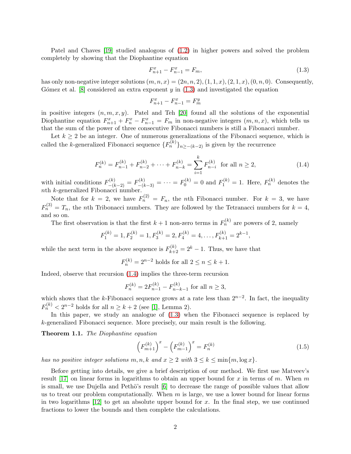Patel and Chaves [\[19\]](#page-12-0) studied analogous of [\(1.2\)](#page-0-1) in higher powers and solved the problem completely by showing that the Diophantine equation

<span id="page-1-0"></span>
$$
F_{n+1}^x - F_{n-1}^x = F_m,\t\t(1.3)
$$

has only non-negative integer solutions  $(m, n, x) = (2n, n, 2), (1, 1, x), (2, 1, x), (0, n, 0)$ . Consequently, Gómez et al.  $[8]$  considered an extra exponent y in  $(1.3)$  and investigated the equation

$$
F_{n+1}^x - F_{n-1}^x = F_m^y
$$

in positive integers  $(n, m, x, y)$ . Patel and Teh [\[20\]](#page-12-7) found all the solutions of the exponential Diophantine equation  $F_{n+1}^x + F_n^x - F_{n-1}^x = F_m$  in non-negative integers  $(m, n, x)$ , which tells us that the sum of the power of three consecutive Fibonacci numbers is still a Fibonacci number.

Let  $k \geq 2$  be an integer. One of numerous generalizations of the Fibonacci sequence, which is called the k-generalized Fibonacci sequence  ${F_n^{(k)}}_{n \ge -(k-2)}$  is given by the recurrence

<span id="page-1-1"></span>
$$
F_n^{(k)} = F_{n-1}^{(k)} + F_{n-2}^{(k)} + \dots + F_{n-k}^{(k)} = \sum_{i=1}^k F_{n-i}^{(k)}
$$
 for all  $n \ge 2$ , (1.4)

with initial conditions  $F_{-(k-2)}^{(k)} = F_{-(k-3)}^{(k)} = \cdots = F_0^{(k)} = 0$  and  $F_1^{(k)} = 1$ . Here,  $F_n^{(k)}$  denotes the nth k-generalized Fibonacci number.

Note that for  $k = 2$ , we have  $F_n^{(2)} = F_n$ , the *n*th Fibonacci number. For  $k = 3$ , we have  $F_n^{(3)} = T_n$ , the nth Tribonacci numbers. They are followed by the Tetranacci numbers for  $k = 4$ , and so on.

The first observation is that the first  $k+1$  non-zero terms in  $F_n^{(k)}$  are powers of 2, namely

$$
F_1^{(k)} = 1, F_2^{(k)} = 1, F_3^{(k)} = 2, F_4^{(k)} = 4, ..., F_{k+1}^{(k)} = 2^{k-1}
$$

while the next term in the above sequence is  $F_{k+2}^{(k)} = 2^k - 1$ . Thus, we have that

$$
F_n^{(k)} = 2^{n-2} \text{ holds for all } 2 \le n \le k+1.
$$

Indeed, observe that recursion [\(1.4\)](#page-1-1) implies the three-term recursion

$$
F_n^{(k)} = 2F_{n-1}^{(k)} - F_{n-k-1}^{(k)}
$$
 for all  $n \ge 3$ ,

which shows that the k-Fibonacci sequence grows at a rate less than  $2^{n-2}$ . In fact, the inequality  $F_n^{(k)} < 2^{n-2}$  holds for all  $n \geq k+2$  (see [\[1\]](#page-11-1), Lemma 2).

In this paper, we study an analogue of  $(1.3)$  when the Fibonacci sequence is replaced by k-generalized Fibonacci sequence. More precisely, our main result is the following.

<span id="page-1-2"></span>Theorem 1.1. The Diophantine equation

<span id="page-1-3"></span>
$$
\left(F_{m+1}^{(k)}\right)^{x} - \left(F_{m-1}^{(k)}\right)^{x} = F_{n}^{(k)}\tag{1.5}
$$

,

has no positive integer solutions  $m, n, k$  and  $x \ge 2$  with  $3 \le k \le \min\{m, \log x\}.$ 

Before getting into details, we give a brief description of our method. We first use Matveev's result [\[17\]](#page-12-8) on linear forms in logarithms to obtain an upper bound for x in terms of m. When m is small, we use Dujella and Pethö's result  $[6]$  to decrease the range of possible values that allow us to treat our problem computationally. When  $m$  is large, we use a lower bound for linear forms in two logarithms  $[12]$  to get an absolute upper bound for x. In the final step, we use continued fractions to lower the bounds and then complete the calculations.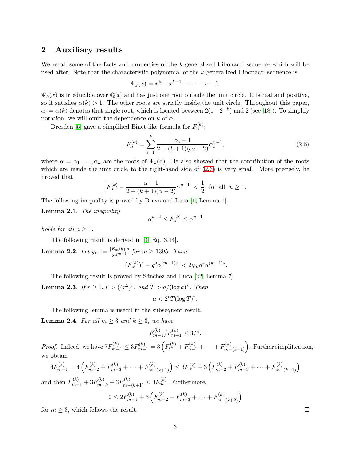### 2 Auxiliary results

We recall some of the facts and properties of the k-generalized Fibonacci sequence which will be used after. Note that the characteristic polynomial of the k-generalized Fibonacci sequence is

$$
\Psi_k(x) = x^k - x^{k-1} - \dots - x - 1.
$$

 $\Psi_k(x)$  is irreducible over  $\mathbb{Q}[x]$  and has just one root outside the unit circle. It is real and positive, so it satisfies  $\alpha(k) > 1$ . The other roots are strictly inside the unit circle. Throughout this paper,  $\alpha := \alpha(k)$  denotes that single root, which is located between  $2(1-2^{-k})$  and 2 (see [\[18\]](#page-12-11)). To simplify notation, we will omit the dependence on  $k$  of  $\alpha$ .

Dresden [\[5\]](#page-11-2) gave a simplified Binet-like formula for  $F_n^{(k)}$ :

<span id="page-2-0"></span>
$$
F_n^{(k)} = \sum_{i=1}^k \frac{\alpha_i - 1}{2 + (k+1)(\alpha_i - 2)} \alpha_i^{n-1},\tag{2.6}
$$

where  $\alpha = \alpha_1, \ldots, \alpha_k$  are the roots of  $\Psi_k(x)$ . He also showed that the contribution of the roots which are inside the unit circle to the right-hand side of [\(2.6\)](#page-2-0) is very small. More precisely, he proved that

$$
\left| F_n^{(k)} - \frac{\alpha - 1}{2 + (k+1)(\alpha - 2)} \alpha^{n-1} \right| < \frac{1}{2} \quad \text{for all} \quad n \ge 1.
$$

The following inequality is proved by Bravo and Luca [\[1,](#page-11-1) Lemma 1].

<span id="page-2-1"></span>Lemma 2.1. The inequality

$$
\alpha^{n-2}\leq F_n^{(k)}\leq \alpha^{n-1}
$$

holds for all  $n \geq 1$ .

The following result is derived in [\[4,](#page-11-0) Eq. 3.14].

<span id="page-2-4"></span>**Lemma 2.2.** Let 
$$
y_m := \frac{|E_m(k)|s}{g\alpha^{m-1}}
$$
 for  $m \ge 1395$ . Then  

$$
|(F_m^{(k)})^s - g^s \alpha^{(m-1)s}| < 2y_m g^s \alpha^{(m-1)s}.
$$

The following result is proved by Sánchez and Luca [\[22,](#page-12-12) Lemma 7].

<span id="page-2-3"></span>**Lemma 2.3.** If  $r \geq 1, T > (4r^2)^r$ , and  $T > a/(\log a)^r$ . Then

 $a < 2^r T(\log T)^r$ .

The following lemma is useful in the subsequent result.

<span id="page-2-2"></span>**Lemma 2.4.** For all  $m \geq 3$  and  $k \geq 3$ , we have

$$
F_{m-1}^{(k)}/F_{m+1}^{(k)} \le 3/7.
$$

*Proof.* Indeed, we have  $7F_{m-1}^{(k)} \leq 3F_{m+1}^{(k)} = 3\left(F_m^{(k)} + F_{n-1}^{(k)} + \cdots + F_{m-(k-1)}^{(k)}\right)$ . Further simplification, we obtain

$$
4F_{m-1}^{(k)} = 4\left(F_{m-2}^{(k)} + F_{m-3}^{(k)} + \dots + F_{m-(k+1)}^{(k)}\right) \le 3F_m^{(k)} + 3\left(F_{m-2}^{(k)} + F_{m-3}^{(k)} + \dots + F_{m-(k-1)}^{(k)}\right)
$$

and then  $F_{m-1}^{(k)} + 3F_{m-k}^{(k)} + 3F_{m-(k+1)}^{(k)} \leq 3F_m^{(k)}$ . Furthermore,

$$
0 \le 2F_{m-1}^{(k)} + 3\left(F_{m-2}^{(k)} + F_{m-3}^{(k)} + \dots + F_{m-(k+2)}^{(k)}\right)
$$

for  $m \geq 3$ , which follows the result.

 $\Box$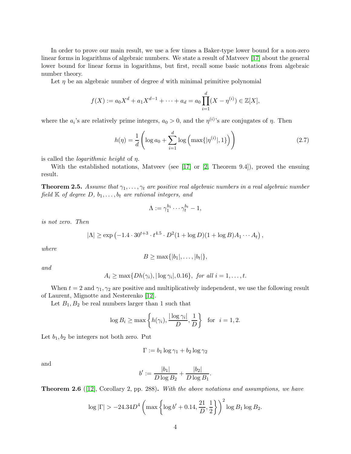In order to prove our main result, we use a few times a Baker-type lower bound for a non-zero linear forms in logarithms of algebraic numbers. We state a result of Matveev [\[17\]](#page-12-8) about the general lower bound for linear forms in logarithms, but first, recall some basic notations from algebraic number theory.

Let  $\eta$  be an algebraic number of degree d with minimal primitive polynomial

$$
f(X) := a_0 X^d + a_1 X^{d-1} + \dots + a_d = a_0 \prod_{i=1}^d (X - \eta^{(i)}) \in \mathbb{Z}[X],
$$

where the  $a_i$ 's are relatively prime integers,  $a_0 > 0$ , and the  $\eta^{(i)}$ 's are conjugates of  $\eta$ . Then

$$
h(\eta) = \frac{1}{d} \left( \log a_0 + \sum_{i=1}^d \log \left( \max\{ |\eta^{(i)}|, 1 \} \right) \right) \tag{2.7}
$$

,

is called the *logarithmic height* of  $\eta$ .

With the established notations, Matveev (see [\[17\]](#page-12-8) or [\[2,](#page-11-3) Theorem 9.4]), proved the ensuing result.

<span id="page-3-0"></span>**Theorem 2.5.** Assume that  $\gamma_1, \ldots, \gamma_t$  are positive real algebraic numbers in a real algebraic number field  $K$  of degree  $D, b_1, \ldots, b_t$  are rational integers, and

$$
\Lambda := \gamma_1^{b_1} \cdots \gamma_t^{b_t} - 1,
$$

is not zero. Then

$$
|\Lambda| \ge \exp\left(-1.4 \cdot 30^{t+3} \cdot t^{4.5} \cdot D^2(1 + \log D)(1 + \log B)A_1 \cdots A_t\right)
$$

where

$$
B \geq \max\{|b_1|,\ldots,|b_t|\},\
$$

and

$$
A_i \ge \max\{Dh(\gamma_i), |\log \gamma_i|, 0.16\}, \text{ for all } i = 1, \ldots, t.
$$

When  $t = 2$  and  $\gamma_1, \gamma_2$  are positive and multiplicatively independent, we use the following result of Laurent, Mignotte and Nesterenko [\[12\]](#page-12-10).

Let  $B_1, B_2$  be real numbers larger than 1 such that

$$
\log B_i \ge \max\left\{h(\gamma_i), \frac{|\log \gamma_i|}{D}, \frac{1}{D}\right\} \text{ for } i = 1, 2.
$$

Let  $b_1, b_2$  be integers not both zero. Put

$$
\Gamma := b_1 \log \gamma_1 + b_2 \log \gamma_2
$$

and

$$
b' := \frac{|b_1|}{D \log B_2} + \frac{|b_2|}{D \log B_1}.
$$

<span id="page-3-1"></span>**Theorem 2.6** ([\[12\]](#page-12-10), Corollary 2, pp. 288). With the above notations and assumptions, we have

$$
\log |\Gamma| > -24.34D^4 \left( \max \left\{ \log b' + 0.14, \frac{21}{D}, \frac{1}{2} \right\} \right)^2 \log B_1 \log B_2.
$$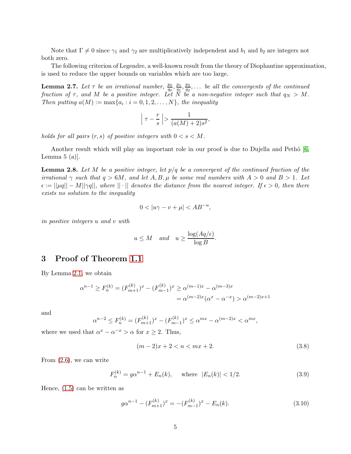Note that  $\Gamma \neq 0$  since  $\gamma_1$  and  $\gamma_2$  are multiplicatively independent and  $b_1$  and  $b_2$  are integers not both zero.

The following criterion of Legendre, a well-known result from the theory of Diophantine approximation, is used to reduce the upper bounds on variables which are too large.

<span id="page-4-4"></span>**Lemma 2.7.** Let  $\tau$  be an irrational number,  $\frac{p_0}{q_0}, \frac{p_1}{q_1}$  $\frac{p_1}{q_1}, \frac{p_2}{q_2}$  $\frac{p_2}{q_2}, \ldots$  be all the convergents of the continued fraction of  $\tau$ , and M be a positive integer. Let N be a non-negative integer such that  $q_N > M$ . Then putting  $a(M) := \max\{a_i : i = 0, 1, 2, \ldots, N\}$ , the inequality

$$
\left|\tau - \frac{r}{s}\right| > \frac{1}{(a(M) + 2)s^2},
$$

holds for all pairs  $(r, s)$  of positive integers with  $0 < s < M$ .

Another result which will play an important role in our proof is due to Dujella and Pethö  $\vert 6$ , Lemma  $5$  (a).

<span id="page-4-3"></span>**Lemma 2.8.** Let M be a positive integer, let  $p/q$  be a convergent of the continued fraction of the irrational  $\gamma$  such that  $q > 6M$ , and let  $A, B, \mu$  be some real numbers with  $A > 0$  and  $B > 1$ . Let  $\epsilon := ||\mu q|| - M||\gamma q||$ , where  $|| \cdot ||$  denotes the distance from the nearest integer. If  $\epsilon > 0$ , then there exists no solution to the inequality

$$
0 < |u\gamma - v + \mu| < AB^{-u},
$$

in positive integers u and v with

$$
u \leq M
$$
 and  $u \geq \frac{\log(Aq/\epsilon)}{\log B}$ .

## 3 Proof of Theorem [1.1](#page-1-2)

By Lemma [2.1,](#page-2-1) we obtain

$$
\alpha^{n-1} \ge F_n^{(k)} = (F_{m+1}^{(k)})^x - (F_{m-1}^{(k)})^x \ge \alpha^{(m-1)x} - \alpha^{(m-3)x}
$$

$$
= \alpha^{(m-2)x} (\alpha^x - \alpha^{-x}) > \alpha^{(m-2)x+1}
$$

and

$$
\alpha^{n-2} \le F_n^{(k)} = (F_{m+1}^{(k)})^x - (F_{m-1}^{(k)})^x \le \alpha^{mx} - \alpha^{(m-2)x} < \alpha^{mx},
$$

where we used that  $\alpha^x - \alpha^{-x} > \alpha$  for  $x \ge 2$ . Thus,

<span id="page-4-2"></span>
$$
(m-2)x + 2 < n < mx + 2. \tag{3.8}
$$

From [\(2.6\)](#page-2-0), we can write

<span id="page-4-1"></span>
$$
F_n^{(k)} = g\alpha^{n-1} + E_n(k), \quad \text{where } |E_n(k)| < 1/2. \tag{3.9}
$$

Hence, [\(1.5\)](#page-1-3) can be written as

<span id="page-4-0"></span>
$$
g\alpha^{n-1} - (F_{m+1}^{(k)})^x = -(F_{m-1}^{(k)})^x - E_n(k). \tag{3.10}
$$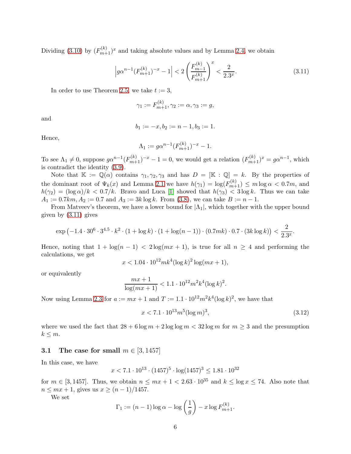Dividing [\(3.10\)](#page-4-0) by  $(F_{m+1}^{(k)})^x$  and taking absolute values and by Lemma [2.4,](#page-2-2) we obtain

<span id="page-5-0"></span>
$$
\left| g\alpha^{n-1} (F_{m+1}^{(k)})^{-x} - 1 \right| < 2 \left( \frac{F_{m-1}^{(k)}}{F_{m+1}^{(k)}} \right)^x < \frac{2}{2.3^x}.\tag{3.11}
$$

In order to use Theorem [2.5,](#page-3-0) we take  $t := 3$ ,

$$
\gamma_1 := F_{m+1}^{(k)}, \gamma_2 := \alpha, \gamma_3 := g,
$$

and

$$
b_1 := -x, b_2 := n - 1, b_3 := 1.
$$

Hence,

$$
\Lambda_1 := g\alpha^{n-1} (F_{m+1}^{(k)})^{-x} - 1.
$$

To see  $\Lambda_1 \neq 0$ , suppose  $g\alpha^{n-1}(F_{m+1}^{(k)})^{-x} - 1 = 0$ , we would get a relation  $(F_{m+1}^{(k)})^x = g\alpha^{n-1}$ , which is contradict the identity [\(3.9\)](#page-4-1).

Note that  $\mathbb{K} := \mathbb{Q}(\alpha)$  contains  $\gamma_1, \gamma_2, \gamma_3$  and has  $D = [\mathbb{K} : \mathbb{Q}] = k$ . By the properties of the dominant root of  $\Psi_k(x)$  and Lemma [2.1](#page-2-1) we have  $h(\gamma_1) = \log(F_{m+1}^{(k)}) \le m \log \alpha < 0.7m$ , and  $h(\gamma_2) = (\log \alpha)/k < 0.7/k$ . Bravo and Luca [\[1\]](#page-11-1) showed that  $h(\gamma_3) < 3 \log k$ . Thus we can take  $A_1 := 0.7km, A_2 := 0.7$  and  $A_3 := 3k \log k$ . From [\(3.8\)](#page-4-2), we can take  $B := n - 1$ .

From Matveev's theorem, we have a lower bound for  $|\Lambda_1|$ , which together with the upper bound given by [\(3.11\)](#page-5-0) gives

$$
\exp\left(-1.4\cdot 30^6\cdot 3^{4.5}\cdot k^2\cdot (1+\log k)\cdot (1+\log(n-1))\cdot (0.7mk)\cdot 0.7\cdot (3k\log k)\right)<\frac{2}{2.3^x}.
$$

Hence, noting that  $1 + \log(n - 1) < 2\log(mx + 1)$ , is true for all  $n \geq 4$  and performing the calculations, we get

$$
x < 1.04 \cdot 10^{12} m k^4 (\log k)^2 \log(mx + 1),
$$

or equivalently

$$
\frac{mx+1}{\log(mx+1)} < 1.1 \cdot 10^{12} m^2 k^4 (\log k)^2.
$$

Now using Lemma [2.3](#page-2-3) for  $a := mx + 1$  and  $T := 1.1 \cdot 10^{12} m^2 k^4 (\log k)^2$ , we have that

<span id="page-5-1"></span>
$$
x < 7.1 \cdot 10^{13} m^5 (\log m)^3,\tag{3.12}
$$

where we used the fact that  $28 + 6 \log m + 2 \log \log m < 32 \log m$  for  $m \geq 3$  and the presumption  $k \leq m$ .

#### 3.1 The case for small  $m \in [3, 1457]$

In this case, we have

$$
x < 7.1 \cdot 10^{13} \cdot (1457)^5 \cdot \log(1457)^3 \le 1.81 \cdot 10^{32}
$$

for  $m \in [3, 1457]$ . Thus, we obtain  $n \leq mx + 1 < 2.63 \cdot 10^{35}$  and  $k \leq \log x \leq 74$ . Also note that  $n \leq mx + 1$ , gives us  $x \geq (n - 1)/1457$ .

We set

$$
\Gamma_1 := (n-1)\log \alpha - \log \left(\frac{1}{g}\right) - x \log F_{m+1}^{(k)}.
$$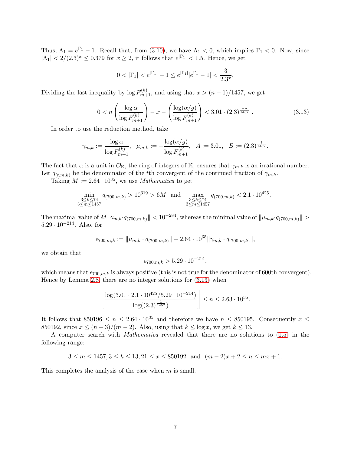Thus,  $\Lambda_1 = e^{\Gamma_1} - 1$ . Recall that, from [\(3.10\)](#page-4-0), we have  $\Lambda_1 < 0$ , which implies  $\Gamma_1 < 0$ . Now, since  $|\Lambda_1|$  < 2/(2.3)<sup>x</sup>  $\leq$  0.379 for  $x \geq 2$ , it follows that  $e^{|\Gamma_1|}$  < 1.5. Hence, we get

$$
0<|\Gamma_1|
$$

Dividing the last inequality by  $\log F_{m+1}^{(k)}$ , and using that  $x > (n-1)/1457$ , we get

<span id="page-6-0"></span>
$$
0 < n \left( \frac{\log \alpha}{\log F_{m+1}^{(k)}} \right) - x - \left( \frac{\log(\alpha/g)}{\log F_{m+1}^{(k)}} \right) < 3.01 \cdot (2.3)^{\frac{-n}{1457}} \tag{3.13}
$$

In order to use the reduction method, take

$$
\gamma_{m,k} := \frac{\log \alpha}{\log F_{m+1}^{(k)}}, \ \ \mu_{m,k} := -\frac{\log(\alpha/g)}{\log F_{m+1}^{(k)}}, \ \ A := 3.01, \ \ B := (2.3)^{\frac{1}{1457}}.
$$

The fact that  $\alpha$  is a unit in  $\mathcal{O}_{\mathbb{K}}$ , the ring of integers of K, ensures that  $\gamma_{m,k}$  is an irrational number. Let  $q_{(t,m,k)}$  be the denominator of the tth convergent of the continued fraction of  $\gamma_{m,k}$ .

Taking  $M := 2.64 \cdot 10^{35}$ , we use *Mathematica* to get

$$
\min_{\substack{3 \le k \le 74 \\ 3 \le m \le 1457}} q_{(700,m,k)} > 10^{319} > 6M \text{ and } \max_{\substack{3 \le k \le 74 \\ 3 \le m \le 1457}} q_{(700,m,k)} < 2.1 \cdot 10^{425}.
$$

The maximal value of  $M||\gamma_{m,k} \cdot q_{(700,m,k)}|| < 10^{-284}$ , whereas the minimal value of  $||\mu_{m,k} \cdot q_{(700,m,k)}|| >$  $5.29 \cdot 10^{-214}$ . Also, for

$$
\epsilon_{700,m,k} := \|\mu_{m,k} \cdot q_{(700,m,k)}\| - 2.64 \cdot 10^{35} \|\gamma_{m,k} \cdot q_{(700,m,k)}\|,
$$

we obtain that

$$
\epsilon_{700,m,k} > 5.29 \cdot 10^{-214},
$$

which means that  $\epsilon_{700,m,k}$  is always positive (this is not true for the denominator of 600th convergent). Hence by Lemma [2.8,](#page-4-3) there are no integer solutions for [\(3.13\)](#page-6-0) when

$$
\left\lfloor \frac{\log(3.01 \cdot 2.1 \cdot 10^{425} / 5.29 \cdot 10^{-214})}{\log((2.3)^{\frac{1}{1457}})} \right\rfloor \le n \le 2.63 \cdot 10^{35}.
$$

It follows that 850196  $\leq n \leq 2.64 \cdot 10^{35}$  and therefore we have  $n \leq 850195$ . Consequently  $x \leq$ 850192, since  $x \le (n-3)/(m-2)$ . Also, using that  $k \le \log x$ , we get  $k \le 13$ .

A computer search with Mathematica revealed that there are no solutions to [\(1.5\)](#page-1-3) in the following range:

$$
3 \le m \le 1457, 3 \le k \le 13, 21 \le x \le 850192
$$
 and  $(m-2)x + 2 \le n \le mx + 1$ .

This completes the analysis of the case when  $m$  is small.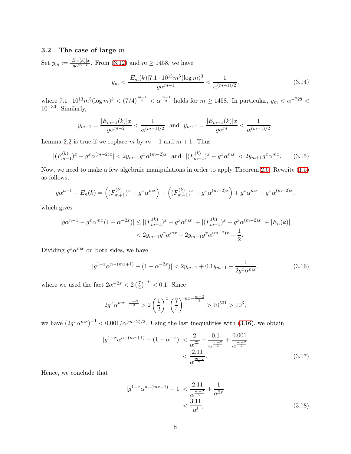### 3.2 The case of large m

Set  $y_m := \frac{|E_m(k)|x}{g\alpha^{m-1}}$ . From [\(3.12\)](#page-5-1) and  $m \ge 1458$ , we have

$$
y_m < \frac{|E_m(k)|7.1 \cdot 10^{13} m^5 (\log m)^3}{g \alpha^{m-1}} < \frac{1}{\alpha^{(m-1)/2}},\tag{3.14}
$$

where  $7.1 \cdot 10^{13} m^5 (\log m)^3 < (7/4)^{\frac{m-1}{2}} < \alpha^{\frac{m-1}{2}}$  holds for  $m \ge 1458$ . In particular,  $y_m < \alpha^{-728} <$  $10^{-30}$ . Similarly,

$$
y_{m-1} = \frac{|E_{m-1}(k)|x}{g\alpha^{m-2}} < \frac{1}{\alpha^{(m-1)/2}}
$$
 and  $y_{m+1} = \frac{|E_{m+1}(k)|x}{g\alpha^m} < \frac{1}{\alpha^{(m-1)/2}}$ .

Lemma [2.2](#page-2-4) is true if we replace m by  $m - 1$  and  $m + 1$ . Thus

$$
|(F_{m-1}^{(k)})^x - g^x \alpha^{(m-2)x}| < 2y_{m-1} g^x \alpha^{(m-2)x} \quad \text{and} \quad |(F_{m+1}^{(k)})^x - g^x \alpha^{mx}| < 2y_{m+1} g^x \alpha^{mx}.\tag{3.15}
$$

Now, we need to make a few algebraic manipulations in order to apply Theorem [2.6.](#page-3-1) Rewrite [\(1.5\)](#page-1-3) as follows,

$$
g\alpha^{n-1} + E_n(k) = \left( (F_{m+1}^{(k)})^x - g^x \alpha^{mx} \right) - \left( (F_{m-1}^{(k)})^x - g^x \alpha^{(m-2)x} \right) + g^x \alpha^{mx} - g^x \alpha^{(m-2)x},
$$

which gives

$$
|g\alpha^{n-1} - g^x \alpha^{mx} (1 - \alpha^{-2x})| \le |(F_{m+1}^{(k)})^x - g^x \alpha^{mx}| + |(F_{m-1}^{(k)})^x - g^x \alpha^{(m-2)x}| + |E_n(k)|
$$
  
<  $2y_{m+1}g^x \alpha^{mx} + 2y_{m-1}g^x \alpha^{(m-2)x} + \frac{1}{2}.$ 

Dividing  $g^x \alpha^{mx}$  on both sides, we have

<span id="page-7-0"></span>
$$
|g^{1-x}\alpha^{n-(mx+1)} - (1 - \alpha^{-2x})| < 2y_{m+1} + 0.1y_{m-1} + \frac{1}{2g^x\alpha^{mx}},\tag{3.16}
$$

where we used the fact  $2\alpha^{-2x} < 2\left(\frac{7}{4}\right)$  $(\frac{7}{4})^{-6}$  < 0.1. Since

$$
2g^x \alpha^{mx - \frac{m-2}{2}} > 2\left(\frac{1}{2}\right)^x \left(\frac{7}{4}\right)^{mx - \frac{m-2}{2}} > 10^{531} > 10^3,
$$

we have  $(2g^x\alpha^{mx})^{-1} < 0.001/\alpha^{(m-2)/2}$ . Using the last inequalities with [\(3.16\)](#page-7-0), we obtain

$$
|g^{1-x}\alpha^{n-(mx+1)} - (1 - \alpha^{-x})| < \frac{2}{\alpha^{\frac{m}{2}}} + \frac{0.1}{\alpha^{\frac{m-2}{2}}} + \frac{0.001}{\alpha^{\frac{m-2}{2}}} \\ < \frac{2.11}{\alpha^{\frac{m-2}{2}}}.\tag{3.17}
$$

Hence, we conclude that

<span id="page-7-2"></span><span id="page-7-1"></span>
$$
|g^{1-x}\alpha^{n-(mx+1)} - 1| < \frac{2.11}{\alpha^{\frac{m-2}{2}}} + \frac{1}{\alpha^{2x}} \quad \frac{3.11}{\alpha^l},\tag{3.18}
$$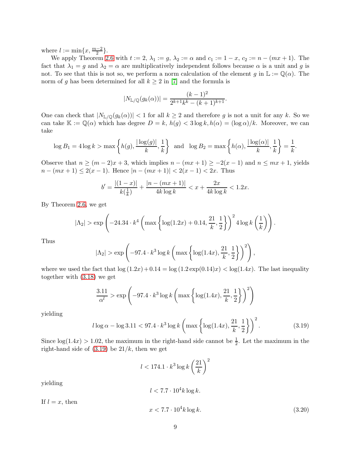where  $l := \min\{x, \frac{m-2}{2}\}.$ 

We apply Theorem [2.6](#page-3-1) with  $t := 2$ ,  $\lambda_1 := g$ ,  $\lambda_2 := \alpha$  and  $c_1 := 1 - x$ ,  $c_2 := n - (mx + 1)$ . The fact that  $\lambda_1 = g$  and  $\lambda_2 = \alpha$  are multiplicatively independent follows because  $\alpha$  is a unit and g is not. To see that this is not so, we perform a norm calculation of the element g in  $\mathbb{L} := \mathbb{Q}(\alpha)$ . The norm of g has been determined for all  $k \geq 2$  in [\[7\]](#page-12-13) and the formula is

$$
|N_{\mathbb{L}/\mathbb{Q}}(g_k(\alpha))| = \frac{(k-1)^2}{2^{k+1}k^k - (k+1)^{k+1}}.
$$

One can check that  $|N_{\mathbb{L}/\mathbb{Q}}(g_k(\alpha))| < 1$  for all  $k \geq 2$  and therefore g is not a unit for any k. So we can take  $\mathbb{K} := \mathbb{Q}(\alpha)$  which has degree  $D = k$ ,  $h(g) < 3 \log k$ ,  $h(\alpha) = (\log \alpha)/k$ . Moreover, we can take

$$
\log B_1 = 4\log k > \max\left\{h(g), \frac{|\log(g)|}{k}, \frac{1}{k}\right\} \text{ and } \log B_2 = \max\left\{h(\alpha), \frac{|\log(\alpha)|}{k}, \frac{1}{k}\right\} = \frac{1}{k}.
$$

Observe that  $n \ge (m-2)x + 3$ , which implies  $n - (mx + 1) \ge -2(x - 1)$  and  $n \le mx + 1$ , yields  $n - (mx + 1) \leq 2(x - 1)$ . Hence  $|n - (mx + 1)| < 2(x - 1) < 2x$ . Thus

$$
b' = \frac{|(1-x)|}{k(\frac{1}{k})} + \frac{|n - (mx+1)|}{4k \log k} < x + \frac{2x}{4k \log k} < 1.2x.
$$

By Theorem [2.6,](#page-3-1) we get

$$
|\Lambda_2|
$$
 > exp $\left(-24.34 \cdot k^4 \left(\max \left\{\log(1.2x) + 0.14, \frac{21}{k}, \frac{1}{2}\right\}\right)^2 4 \log k \left(\frac{1}{k}\right)\right).$ 

Thus

$$
|\Lambda_2| > \exp\left(-97.4 \cdot k^3 \log k \left(\max\left\{\log(1.4x), \frac{21}{k}, \frac{1}{2}\right\}\right)^2\right),\,
$$

where we used the fact that  $\log(1.2x) + 0.14 = \log(1.2 \exp(0.14)x) < \log(1.4x)$ . The last inequality together with [\(3.18\)](#page-7-1) we get

$$
\frac{3.11}{\alpha^l} > \exp\left(-97.4 \cdot k^3 \log k \left(\max\left\{\log(1.4x), \frac{21}{k}, \frac{1}{2}\right\}\right)^2\right)
$$

yielding

<span id="page-8-0"></span>
$$
l \log \alpha - \log 3.11 < 97.4 \cdot k^3 \log k \left( \max \left\{ \log(1.4x), \frac{21}{k}, \frac{1}{2} \right\} \right)^2. \tag{3.19}
$$

Since  $log(1.4x) > 1.02$ , the maximum in the right-hand side cannot be  $\frac{1}{2}$ . Let the maximum in the right-hand side of  $(3.19)$  be  $21/k$ , then we get

$$
l < 174.1 \cdot k^3 \log k \left(\frac{21}{k}\right)^2
$$

yielding

$$
l < 7.7 \cdot 10^4 k \log k.
$$

If  $l = x$ , then

<span id="page-8-1"></span>
$$
x < 7.7 \cdot 10^4 k \log k. \tag{3.20}
$$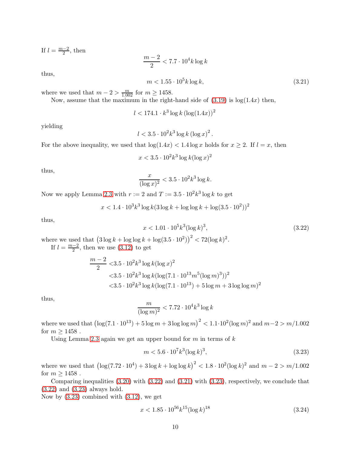If  $l = \frac{m-2}{2}$  $\frac{-2}{2}$ , then

 $m-2$  $\frac{1}{2} < 7.7 \cdot 10^4 k \log k$ 

thus,

<span id="page-9-1"></span>
$$
m < 1.55 \cdot 10^5 k \log k,\tag{3.21}
$$

where we used that  $m - 2 > \frac{m}{1.002}$  for  $m \ge 1458$ .

Now, assume that the maximum in the right-hand side of  $(3.19)$  is  $log(1.4x)$  then,

$$
l < 174.1 \cdot k^3 \log k \left( \log(1.4x) \right)^2
$$

yielding

$$
l < 3.5 \cdot 10^2 k^3 \log k \left(\log x\right)^2.
$$

For the above inequality, we used that  $\log(1.4x) < 1.4 \log x$  holds for  $x \geq 2$ . If  $l = x$ , then

$$
x<3.5\cdot 10^2 k^3\log k(\log x)^2
$$

thus,

$$
\frac{x}{(\log x)^2} < 3.5 \cdot 10^2 k^3 \log k.
$$

Now we apply Lemma [2.3](#page-2-3) with  $r := 2$  and  $T := 3.5 \cdot 10^2 k^3 \log k$  to get

 $x < 1.4 \cdot 10^3 k^3 \log k (3 \log k + \log \log k + \log (3.5 \cdot 10^2))^2$ 

thus,

<span id="page-9-0"></span>
$$
x < 1.01 \cdot 10^5 k^3 (\log k)^3,\tag{3.22}
$$

where we used that  $(3 \log k + \log \log k + \log(3.5 \cdot 10^2))^2 < 72(\log k)^2$ .

If  $l = \frac{m-2}{2}$  $\frac{2}{2}$ , then we use  $(3.12)$  to get

$$
\frac{m-2}{2} < 3.5 \cdot 10^2 k^3 \log k (\log x)^2
$$
  

$$
< 3.5 \cdot 10^2 k^3 \log k (\log (7.1 \cdot 10^{13} m^5 (\log m)^3))^2
$$
  

$$
< 3.5 \cdot 10^2 k^3 \log k (\log (7.1 \cdot 10^{13}) + 5 \log m + 3 \log \log m)^2
$$

thus,

$$
\frac{m}{(\log m)^2} < 7.72 \cdot 10^4 k^3 \log k
$$

where we used that  $(\log(7.1 \cdot 10^{13}) + 5 \log m + 3 \log \log m)^2 < 1.1 \cdot 10^2 (\log m)^2$  and  $m-2 > m/1.002$ for  $m \ge 1458$ .

Using Lemma [2.3](#page-2-3) again we get an upper bound for  $m$  in terms of  $k$ 

<span id="page-9-2"></span>
$$
m < 5.6 \cdot 10^7 k^3 (\log k)^3,\tag{3.23}
$$

where we used that  $(\log(7.72 \cdot 10^4) + 3 \log k + \log \log k)^2 < 1.8 \cdot 10^2 (\log k)^2$  and  $m - 2 > m/1.002$ for  $m \ge 1458$ .

Comparing inequalities [\(3.20\)](#page-8-1) with [\(3.22\)](#page-9-0) and [\(3.21\)](#page-9-1) with [\(3.23\)](#page-9-2), respectively, we conclude that [\(3.22\)](#page-9-0) and [\(3.23\)](#page-9-2) always hold.

Now by  $(3.23)$  combined with  $(3.12)$ , we get

<span id="page-9-3"></span>
$$
x < 1.85 \cdot 10^{56} k^{15} (\log k)^{18} \tag{3.24}
$$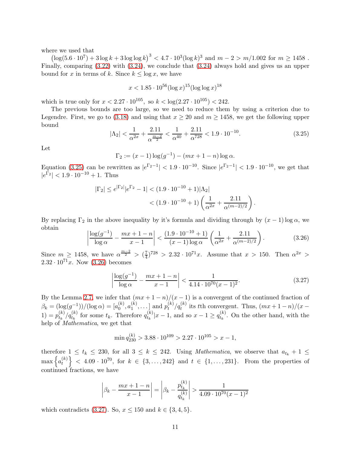where we used that

 $\left(\log(5.6 \cdot 10^7) + 3 \log k + 3 \log \log k\right)^3 < 4.7 \cdot 10^3 (\log k)^3$  and  $m - 2 > m/1.002$  for  $m \ge 1458$ . Finally, comparing [\(3.22\)](#page-9-0) with [\(3.24\)](#page-9-3), we conclude that [\(3.24\)](#page-9-3) always hold and gives us an upper bound for x in terms of k. Since  $k \leq \log x$ , we have

$$
x < 1.85 \cdot 10^{56} (\log x)^{15} (\log \log x)^{18}
$$

which is true only for  $x < 2.27 \cdot 10^{105}$ , so  $k < \log(2.27 \cdot 10^{105}) < 242$ .

The previous bounds are too large, so we need to reduce them by using a criterion due to Legendre. First, we go to [\(3.18\)](#page-7-1) and using that  $x \ge 20$  and  $m \ge 1458$ , we get the following upper bound

<span id="page-10-0"></span>
$$
|\Lambda_2| < \frac{1}{\alpha^{2x}} + \frac{2.11}{\alpha^{\frac{m-2}{2}}} < \frac{1}{\alpha^{40}} + \frac{2.11}{\alpha^{728}} < 1.9 \cdot 10^{-10}.\tag{3.25}
$$

Let

$$
\Gamma_2 := (x - 1) \log(g^{-1}) - (mx + 1 - n) \log \alpha.
$$

Equation [\(3.25\)](#page-10-0) can be rewritten as  $|e^{\Gamma_2-1}| < 1.9 \cdot 10^{-10}$ . Since  $|e^{\Gamma_2-1}| < 1.9 \cdot 10^{-10}$ , we get that  $|e^{\Gamma_2}| < 1.9 \cdot 10^{-10} + 1$ . Thus

$$
\begin{aligned} |\Gamma_2| &\le e^{|\Gamma_2|} |e^{\Gamma_2} - 1| < (1.9 \cdot 10^{-10} + 1) |\Lambda_2| \\ &< (1.9 \cdot 10^{-10} + 1) \left( \frac{1}{\alpha^{2x}} + \frac{2.11}{\alpha^{(m-2)/2}} \right). \end{aligned}
$$

By replacing  $\Gamma_2$  in the above inequality by it's formula and dividing through by  $(x - 1) \log \alpha$ , we obtain

<span id="page-10-1"></span>
$$
\left| \frac{\log(g^{-1})}{\log \alpha} - \frac{mx + 1 - n}{x - 1} \right| < \frac{(1.9 \cdot 10^{-10} + 1)}{(x - 1)\log \alpha} \left( \frac{1}{\alpha^{2x}} + \frac{2.11}{\alpha^{(m-2)/2}} \right). \tag{3.26}
$$

Since  $m \geq 1458$ , we have  $\alpha^{\frac{m-2}{2}} > (\frac{7}{4})$  $\frac{7}{4}$ )<sup>728</sup> > 2.32 · 10<sup>71</sup>*x*. Assume that *x* > 150. Then  $\alpha^{2x}$  >  $2.32 \cdot 10^{71}x$ . Now  $(3.26)$  becomes

<span id="page-10-2"></span>
$$
\left| \frac{\log(g^{-1})}{\log \alpha} - \frac{mx + 1 - n}{x - 1} \right| < \frac{1}{4.14 \cdot 10^{70} (x - 1)^2}.\tag{3.27}
$$

By the Lemma [2.7,](#page-4-4) we infer that  $(mx + 1 - n)/(x - 1)$  is a convergent of the continued fraction of  $\beta_k = (\log(g^{-1})) / (\log \alpha) = [a_0^{(k)}]$  $\binom{k}{0},a_1^{(k)}$  $\binom{k}{1}, \ldots$ ] and  $p_t^{(k)}$  $\binom{k}{t}$   $q_t^{(k)}$  its tth convergent. Thus,  $(mx+1-n)/(x-n)$  $1) = p_{t_k}^{(k)}$  $\binom{(k)}{t_k}$   $\left\{q_{t_k}^{(k)}\right\}$  for some  $t_k$ . Therefore  $q_{t_k}^{(k)}$  $t_k^{(k)}|x-1$ , and so  $x-1 \geq q_{t_k}^{(k)}$  $t_k^{(k)}$ . On the other hand, with the help of Mathematica, we get that

$$
\min q_{230}^{(k)} > 3.88 \cdot 10^{109} > 2.27 \cdot 10^{105} > x - 1,
$$

therefore  $1 \le t_k \le 230$ , for all  $3 \le k \le 242$ . Using *Mathematica*, we observe that  $a_{t_k} + 1 \le$  $\max\left\{a_t^{(k)}\right\}$  $\{e^{(k)}\}\leq 4.09 \cdot 10^{70}$ , for  $k \in \{3, \ldots, 242\}$  and  $t \in \{1, \ldots, 231\}$ . From the properties of continued fractions, we have

$$
\left| \beta_k - \frac{mx + 1 - n}{x - 1} \right| = \left| \beta_k - \frac{p_{t_k}^{(k)}}{q_{t_k}^{(k)}} \right| > \frac{1}{4.09 \cdot 10^{70} (x - 1)^2}
$$

which contradicts [\(3.27\)](#page-10-2). So,  $x \le 150$  and  $k \in \{3, 4, 5\}$ .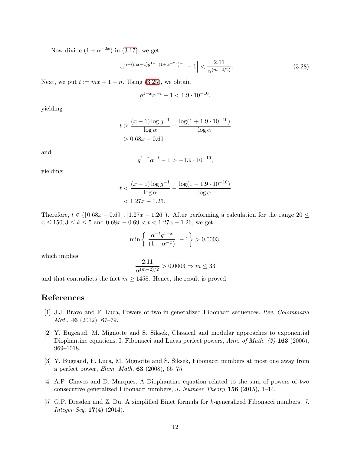Now divide  $(1 + \alpha^{-2x})$  in [\(3.17\)](#page-7-2), we get

$$
\left| \alpha^{n - (mx + 1)g^{1 - x}(1 + \alpha^{-2x})^{-1}} - 1 \right| < \frac{2.11}{\alpha^{(m - 2/2)}}. \tag{3.28}
$$

Next, we put  $t := mx + 1 - n$ . Using [\(3.25\)](#page-10-0), we obtain

$$
g^{1-x} \alpha^{-t} - 1 < 1.9 \cdot 10^{-10},
$$

yielding

$$
t > \frac{(x-1)\log g^{-1}}{\log \alpha} - \frac{\log(1 + 1.9 \cdot 10^{-10})}{\log \alpha}
$$
  
> 0.68x - 0.69

and

$$
g^{1-x} \alpha^{-t} - 1 > -1.9 \cdot 10^{-10},
$$

yielding

$$
t < \frac{(x-1)\log g^{-1}}{\log \alpha} - \frac{\log(1 - 1.9 \cdot 10^{-10})}{\log \alpha} < 1.27x - 1.26.
$$

Therefore,  $t \in ([0.68x - 0.69], [1.27x - 1.26])$ . After performing a calculation for the range  $20 \le$  $x \le 150, 3 \le k \le 5$  and  $0.68x - 0.69 < t < 1.27x - 1.26$ , we get

$$
\min\left\{ \left| \frac{\alpha^{-t} g^{1-x}}{(1+\alpha^{-x})} \right| - 1 \right\} > 0.0003,
$$

which implies

$$
\frac{2.11}{\alpha^{(m-2)/2}} > 0.0003 \Rightarrow m \le 33
$$

and that contradicts the fact  $m \ge 1458$ . Hence, the result is proved.

# <span id="page-11-1"></span>References

- [1] J.J. Bravo and F. Luca, Powers of two in generalized Fibonacci sequences, Rev. Colombiana Mat.. 46 (2012), 67-79.
- <span id="page-11-3"></span>[2] Y. Bugeaud, M. Mignotte and S. Siksek, Classical and modular approaches to exponential Diophantine equations. I. Fibonacci and Lucas perfect powers, Ann. of Math. (2) 163 (2006), 969–1018.
- [3] Y. Bugeaud, F. Luca, M. Mignotte and S. Siksek, Fibonacci numbers at most one away from a perfect power, Elem. Math. 63 (2008), 65–75.
- <span id="page-11-0"></span>[4] A.P. Chaves and D. Marques, A Diophantine equation related to the sum of powers of two consecutive generalized Fibonacci numbers, J. Number Theory 156 (2015), 1–14.
- <span id="page-11-2"></span>[5] G.P. Dresden and Z. Du, A simplified Binet formula for k-generalized Fibonacci numbers, J. Integer Seq. 17(4) (2014).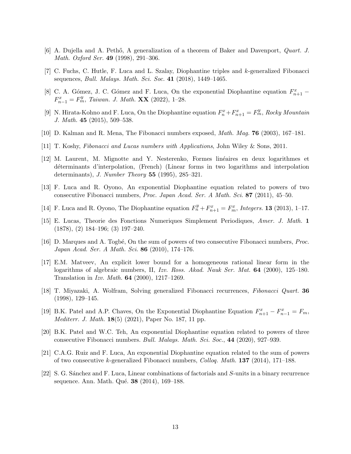- <span id="page-12-13"></span><span id="page-12-9"></span>[6] A. Dujella and A. Pethő, A generalization of a theorem of Baker and Davenport, *Quart. J.* Math. Oxford Ser. 49 (1998), 291–306.
- <span id="page-12-6"></span>[7] C. Fuchs, C. Hutle, F. Luca and L. Szalay, Diophantine triples and k-generalized Fibonacci sequences, *Bull. Malays. Math. Sci. Soc.* 41 (2018), 1449–1465.
- [8] C. A. Gómez, J. C. Gómez and F. Luca, On the exponential Diophantine equation  $F_{n+1}^x$   $F_{n-1}^x = F_m^y$ , Taiwan. J. Math. **XX** (2022), 1-28.
- [9] N. Hirata-Kohno and F. Luca, On the Diophantine equation  $F_n^x + F_{n+1}^x = F_m^y$ , Rocky Mountain J. Math. 45 (2015), 509–538.
- <span id="page-12-1"></span>[10] D. Kalman and R. Mena, The Fibonacci numbers exposed, Math. Mag. 76 (2003), 167–181.
- <span id="page-12-10"></span>[11] T. Koshy, Fibonacci and Lucas numbers with Applications, John Wiley & Sons, 2011.
- [12] M. Laurent, M. Mignotte and Y. Nesterenko, Formes linéaires en deux logarithmes et d´eterminants d'interpolation, (French) (Linear forms in two logarithms and interpolation determinants), J. Number Theory 55 (1995), 285–321.
- <span id="page-12-4"></span>[13] F. Luca and R. Oyono, An exponential Diophantine equation related to powers of two consecutive Fibonacci numbers, Proc. Japan Acad. Ser. A Math. Sci. 87 (2011), 45–50.
- <span id="page-12-2"></span>[14] F. Luca and R. Oyono, The Diophantine equation  $F_n^y + F_{n+1}^x = F_m^x$ , Integers. **13** (2013), 1-17.
- <span id="page-12-3"></span>[15] E. Lucas, Theorie des Fonctions Numeriques Simplement Periodiques, Amer. J. Math. 1 (1878), (2) 184–196; (3) 197–240.
- [16] D. Marques and A. Togbé, On the sum of powers of two consecutive Fibonacci numbers, *Proc.* Japan Acad. Ser. A Math. Sci. 86 (2010), 174–176.
- <span id="page-12-8"></span>[17] E.M. Matveev, An explicit lower bound for a homogeneous rational linear form in the logarithms of algebraic numbers, II, Izv. Ross. Akad. Nauk Ser. Mat. **64** (2000), 125–180. Translation in Izv. Math. 64 (2000), 1217–1269.
- <span id="page-12-11"></span>[18] T. Miyazaki, A. Wolfram, Solving generalized Fibonacci recurrences, Fibonacci Quart. 36 (1998), 129–145.
- <span id="page-12-0"></span>[19] B.K. Patel and A.P. Chaves, On the Exponential Diophantine Equation  $F_{n+1}^x - F_{n-1}^x = F_m$ , Mediterr. J. Math. 18(5) (2021), Paper No. 187, 11 pp.
- <span id="page-12-7"></span>[20] B.K. Patel and W.C. Teh, An exponential Diophantine equation related to powers of three consecutive Fibonacci numbers. Bull. Malays. Math. Sci. Soc., 44 (2020), 927–939.
- <span id="page-12-5"></span>[21] C.A.G. Ruiz and F. Luca, An exponential Diophantine equation related to the sum of powers of two consecutive k-generalized Fibonacci numbers, Colloq. Math. 137 (2014), 171–188.
- <span id="page-12-12"></span>[22] S. G. S´anchez and F. Luca, Linear combinations of factorials and S-units in a binary recurrence sequence. Ann. Math. Qué. **38** (2014), 169–188.